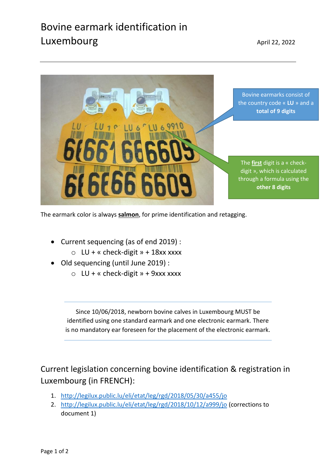## Bovine earmark identification in Luxembourg and the control of the April 22, 2022



The earmark color is always **salmon**, for prime identification and retagging.

- Current sequencing (as of end 2019) :
	- $\circ$  LU + « check-digit » + 18xx xxxx
- Old sequencing (until June 2019) :
	- $\circ$  LU + « check-digit » + 9xxx xxxx

Since 10/06/2018, newborn bovine calves in Luxembourg MUST be identified using one standard earmark and one electronic earmark. There is no mandatory ear foreseen for the placement of the electronic earmark.

Current legislation concerning bovine identification & registration in Luxembourg (in FRENCH):

- 1. <http://legilux.public.lu/eli/etat/leg/rgd/2018/05/30/a455/jo>
- 2. <http://legilux.public.lu/eli/etat/leg/rgd/2018/10/12/a999/jo> (corrections to document 1)